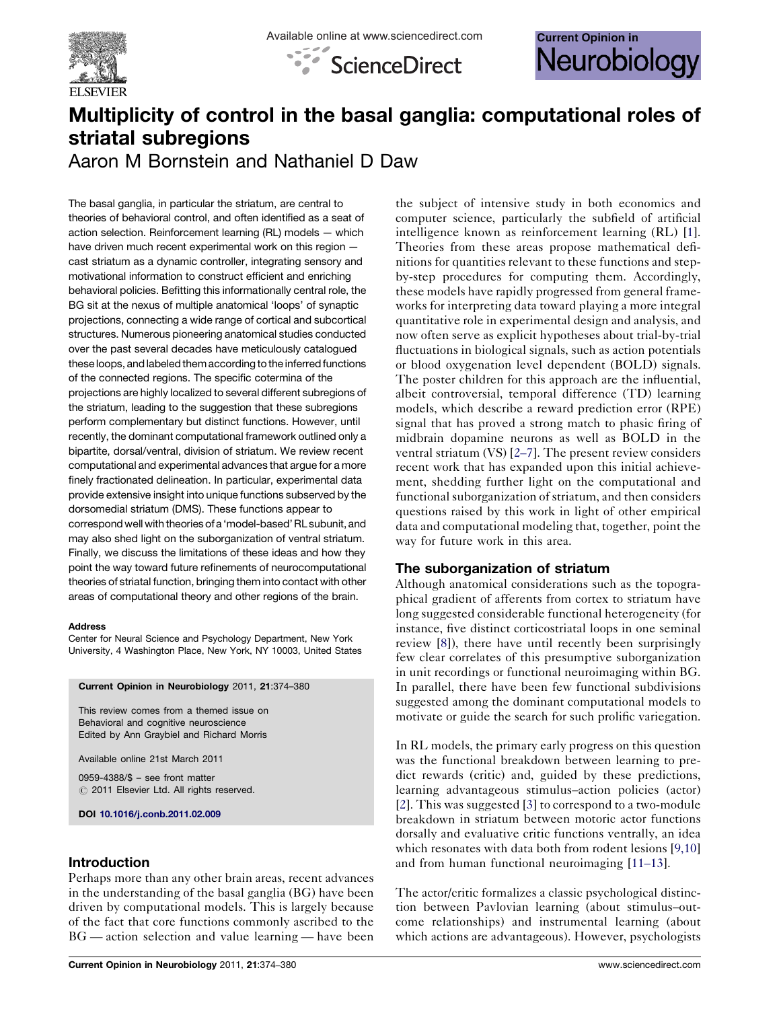





# Multiplicity of control in the basal ganglia: computational roles of striatal subregions

Aaron M Bornstein and Nathaniel D Daw

The basal ganglia, in particular the striatum, are central to theories of behavioral control, and often identified as a seat of action selection. Reinforcement learning (RL) models — which have driven much recent experimental work on this region cast striatum as a dynamic controller, integrating sensory and motivational information to construct efficient and enriching behavioral policies. Befitting this informationally central role, the BG sit at the nexus of multiple anatomical 'loops' of synaptic projections, connecting a wide range of cortical and subcortical structures. Numerous pioneering anatomical studies conducted over the past several decades have meticulously catalogued these loops, and labeled them according to the inferred functions of the connected regions. The specific cotermina of the projections are highly localized to several different subregions of the striatum, leading to the suggestion that these subregions perform complementary but distinct functions. However, until recently, the dominant computational framework outlined only a bipartite, dorsal/ventral, division of striatum. We review recent computational and experimental advances that argue for a more finely fractionated delineation. In particular, experimental data provide extensive insight into unique functions subserved by the dorsomedial striatum (DMS). These functions appear to correspond well with theories of a 'model-based' RL subunit, and may also shed light on the suborganization of ventral striatum. Finally, we discuss the limitations of these ideas and how they point the way toward future refinements of neurocomputational theories of striatal function, bringing them into contact with other areas of computational theory and other regions of the brain.

#### **Address**

Center for Neural Science and Psychology Department, New York University, 4 Washington Place, New York, NY 10003, United States

#### Current Opinion in Neurobiology 2011, 21:374–380

This review comes from a themed issue on Behavioral and cognitive neuroscience Edited by Ann Graybiel and Richard Morris

Available online 21st March 2011

0959-4388/\$ – see front matter  $\circ$  2011 Elsevier Ltd. All rights reserved.

DOI [10.1016/j.conb.2011.02.009](http://dx.doi.org/10.1016/j.conb.2011.02.009)

# Introduction

Perhaps more than any other brain areas, recent advances in the understanding of the basal ganglia (BG) have been driven by computational models. This is largely because of the fact that core functions commonly ascribed to the BG — action selection and value learning — have been

the subject of intensive study in both economics and computer science, particularly the subfield of artificial intelligence known as reinforcement learning (RL) [[1](#page-3-0)]. Theories from these areas propose mathematical definitions for quantities relevant to these functions and stepby-step procedures for computing them. Accordingly, these models have rapidly progressed from general frameworks for interpreting data toward playing a more integral quantitative role in experimental design and analysis, and now often serve as explicit hypotheses about trial-by-trial fluctuations in biological signals, such as action potentials or blood oxygenation level dependent (BOLD) signals. The poster children for this approach are the influential, albeit controversial, temporal difference (TD) learning models, which describe a reward prediction error (RPE) signal that has proved a strong match to phasic firing of midbrain dopamine neurons as well as BOLD in the ventral striatum (VS) [\[2](#page-3-0)–7]. The present review considers recent work that has expanded upon this initial achievement, shedding further light on the computational and functional suborganization of striatum, and then considers questions raised by this work in light of other empirical data and computational modeling that, together, point the way for future work in this area.

# The suborganization of striatum

Although anatomical considerations such as the topographical gradient of afferents from cortex to striatum have long suggested considerable functional heterogeneity (for instance, five distinct corticostriatal loops in one seminal review [[8\]](#page-4-0)), there have until recently been surprisingly few clear correlates of this presumptive suborganization in unit recordings or functional neuroimaging within BG. In parallel, there have been few functional subdivisions suggested among the dominant computational models to motivate or guide the search for such prolific variegation.

In RL models, the primary early progress on this question was the functional breakdown between learning to predict rewards (critic) and, guided by these predictions, learning advantageous stimulus–action policies (actor) [\[2](#page-3-0)]. This was suggested [\[3](#page-3-0)] to correspond to a two-module breakdown in striatum between motoric actor functions dorsally and evaluative critic functions ventrally, an idea which resonates with data both from rodent lesions [[9,10\]](#page-4-0) and from human functional neuroimaging [11–[13\]](#page-4-0).

The actor/critic formalizes a classic psychological distinction between Pavlovian learning (about stimulus–outcome relationships) and instrumental learning (about which actions are advantageous). However, psychologists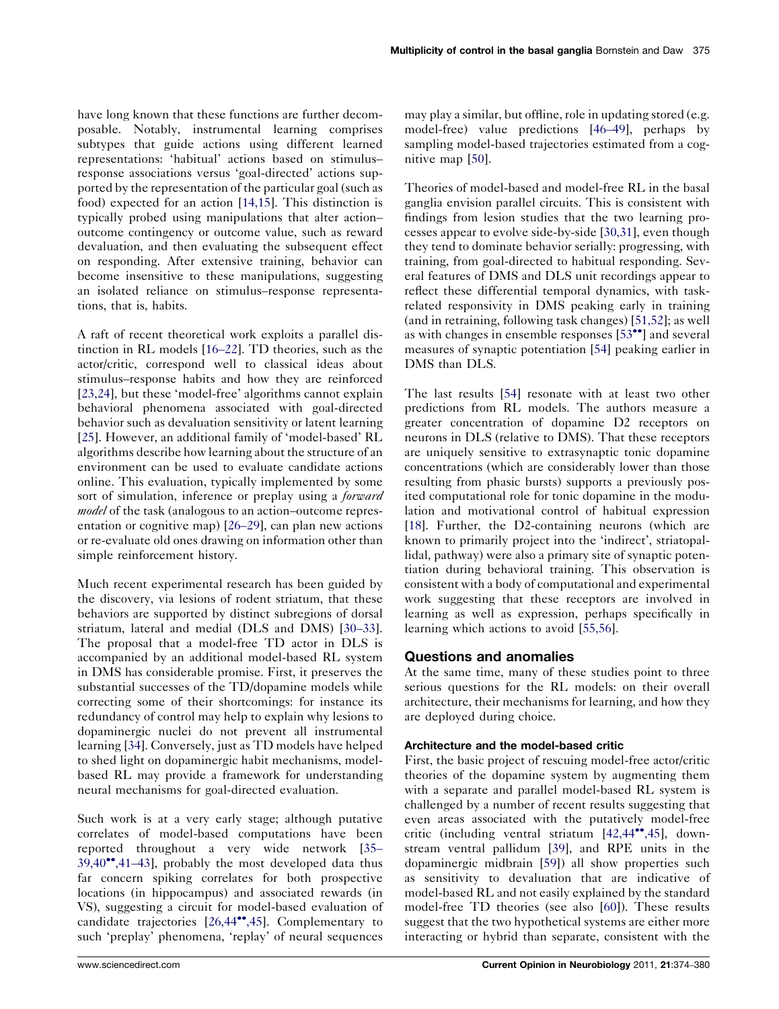have long known that these functions are further decomposable. Notably, instrumental learning comprises subtypes that guide actions using different learned representations: 'habitual' actions based on stimulus– response associations versus 'goal-directed' actions supported by the representation of the particular goal (such as food) expected for an action [\[14,15\]](#page-4-0). This distinction is typically probed using manipulations that alter action– outcome contingency or outcome value, such as reward devaluation, and then evaluating the subsequent effect on responding. After extensive training, behavior can become insensitive to these manipulations, suggesting an isolated reliance on stimulus–response representations, that is, habits.

A raft of recent theoretical work exploits a parallel distinction in RL models [16–[22\]](#page-4-0). TD theories, such as the actor/critic, correspond well to classical ideas about stimulus–response habits and how they are reinforced [\[23,24\]](#page-4-0), but these 'model-free' algorithms cannot explain behavioral phenomena associated with goal-directed behavior such as devaluation sensitivity or latent learning [\[25](#page-4-0)]. However, an additional family of 'model-based' RL algorithms describe how learning about the structure of an environment can be used to evaluate candidate actions online. This evaluation, typically implemented by some sort of simulation, inference or preplay using a *forward model* of the task (analogous to an action–outcome representation or cognitive map) [\[26](#page-4-0)–29], can plan new actions or re-evaluate old ones drawing on information other than simple reinforcement history.

Much recent experimental research has been guided by the discovery, via lesions of rodent striatum, that these behaviors are supported by distinct subregions of dorsal striatum, lateral and medial (DLS and DMS) [\[30](#page-4-0)–33]. The proposal that a model-free TD actor in DLS is accompanied by an additional model-based RL system in DMS has considerable promise. First, it preserves the substantial successes of the TD/dopamine models while correcting some of their shortcomings: for instance its redundancy of control may help to explain why lesions to dopaminergic nuclei do not prevent all instrumental learning [[34\]](#page-4-0). Conversely, just as TD models have helped to shed light on dopaminergic habit mechanisms, modelbased RL may provide a framework for understanding neural mechanisms for goal-directed evaluation.

Such work is at a very early stage; although putative correlates of model-based computations have been reported throughout a very wide network [\[35](#page-4-0)– [39,40](#page-4-0)<sup>\*</sup>[,41](#page-4-0)-43], probably the most developed data thus far concern spiking correlates for both prospective locations (in hippocampus) and associated rewards (in VS), suggesting a circuit for model-based evaluation of candidate trajectories [[26,44](#page-4-0)<sup>\*\*</sup>[,45](#page-4-0)]. Complementary to such 'preplay' phenomena, 'replay' of neural sequences may play a similar, but offline, role in updating stored (e.g. model-free) value predictions [46–[49\]](#page-5-0), perhaps by sampling model-based trajectories estimated from a cognitive map [[50\]](#page-5-0).

Theories of model-based and model-free RL in the basal ganglia envision parallel circuits. This is consistent with findings from lesion studies that the two learning processes appear to evolve side-by-side [\[30,31\]](#page-4-0), even though they tend to dominate behavior serially: progressing, with training, from goal-directed to habitual responding. Several features of DMS and DLS unit recordings appear to reflect these differential temporal dynamics, with taskrelated responsivity in DMS peaking early in training (and in retraining, following task changes) [[51,52\]](#page-5-0); as well as with changes in ensemble responses [[53](#page-5-0)<sup>\*\*</sup>] and several measures of synaptic potentiation [\[54](#page-5-0)] peaking earlier in DMS than DLS.

The last results [[54\]](#page-5-0) resonate with at least two other predictions from RL models. The authors measure a greater concentration of dopamine D2 receptors on neurons in DLS (relative to DMS). That these receptors are uniquely sensitive to extrasynaptic tonic dopamine concentrations (which are considerably lower than those resulting from phasic bursts) supports a previously posited computational role for tonic dopamine in the modulation and motivational control of habitual expression [[18](#page-4-0)]. Further, the D2-containing neurons (which are known to primarily project into the 'indirect', striatopallidal, pathway) were also a primary site of synaptic potentiation during behavioral training. This observation is consistent with a body of computational and experimental work suggesting that these receptors are involved in learning as well as expression, perhaps specifically in learning which actions to avoid [[55,56\]](#page-5-0).

## Questions and anomalies

At the same time, many of these studies point to three serious questions for the RL models: on their overall architecture, their mechanisms for learning, and how they are deployed during choice.

## Architecture and the model-based critic

First, the basic project of rescuing model-free actor/critic theories of the dopamine system by augmenting them with a separate and parallel model-based RL system is challenged by a number of recent results suggesting that even areas associated with the putatively model-free critic (including ventral striatum [[42,44](#page-4-0)<sup>\*\*</sup>[,45](#page-4-0)], downstream ventral pallidum [\[39](#page-4-0)], and RPE units in the dopaminergic midbrain [[59\]](#page-5-0)) all show properties such as sensitivity to devaluation that are indicative of model-based RL and not easily explained by the standard model-free TD theories (see also [\[60](#page-5-0)]). These results suggest that the two hypothetical systems are either more interacting or hybrid than separate, consistent with the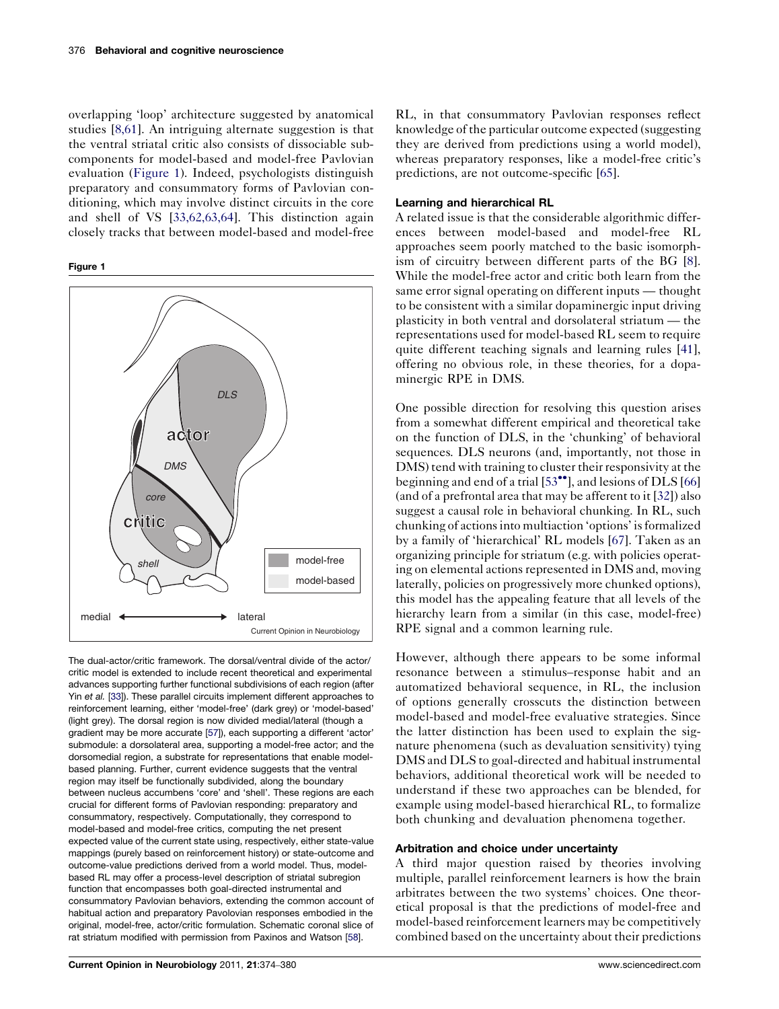overlapping 'loop' architecture suggested by anatomical studies [[8,61](#page-4-0)]. An intriguing alternate suggestion is that the ventral striatal critic also consists of dissociable subcomponents for model-based and model-free Pavlovian evaluation (Figure 1). Indeed, psychologists distinguish preparatory and consummatory forms of Pavlovian conditioning, which may involve distinct circuits in the core and shell of VS [\[33,62,63,64\]](#page-4-0). This distinction again closely tracks that between model-based and model-free

Figure 1



The dual-actor/critic framework. The dorsal/ventral divide of the actor/ critic model is extended to include recent theoretical and experimental advances supporting further functional subdivisions of each region (after Yin et al. [\[33](#page-4-0)]). These parallel circuits implement different approaches to reinforcement learning, either 'model-free' (dark grey) or 'model-based' (light grey). The dorsal region is now divided medial/lateral (though a gradient may be more accurate [[57\]](#page-5-0)), each supporting a different 'actor' submodule: a dorsolateral area, supporting a model-free actor; and the dorsomedial region, a substrate for representations that enable modelbased planning. Further, current evidence suggests that the ventral region may itself be functionally subdivided, along the boundary between nucleus accumbens 'core' and 'shell'. These regions are each crucial for different forms of Pavlovian responding: preparatory and consummatory, respectively. Computationally, they correspond to model-based and model-free critics, computing the net present expected value of the current state using, respectively, either state-value mappings (purely based on reinforcement history) or state-outcome and outcome-value predictions derived from a world model. Thus, modelbased RL may offer a process-level description of striatal subregion function that encompasses both goal-directed instrumental and consummatory Pavlovian behaviors, extending the common account of habitual action and preparatory Pavolovian responses embodied in the original, model-free, actor/critic formulation. Schematic coronal slice of rat striatum modified with permission from Paxinos and Watson [[58\]](#page-5-0).

RL, in that consummatory Pavlovian responses reflect knowledge of the particular outcome expected (suggesting they are derived from predictions using a world model), whereas preparatory responses, like a model-free critic's predictions, are not outcome-specific [\[65\]](#page-5-0).

### Learning and hierarchical RL

A related issue is that the considerable algorithmic differences between model-based and model-free RL approaches seem poorly matched to the basic isomorphism of circuitry between different parts of the BG [[8](#page-4-0)]. While the model-free actor and critic both learn from the same error signal operating on different inputs — thought to be consistent with a similar dopaminergic input driving plasticity in both ventral and dorsolateral striatum — the representations used for model-based RL seem to require quite different teaching signals and learning rules [[41](#page-4-0)], offering no obvious role, in these theories, for a dopaminergic RPE in DMS.

One possible direction for resolving this question arises from a somewhat different empirical and theoretical take on the function of DLS, in the 'chunking' of behavioral sequences. DLS neurons (and, importantly, not those in DMS) tend with training to cluster their responsivity at the beginning and end of a trial [[53](#page-5-0)\*\*], and lesions of DLS [\[66\]](#page-5-0) (and of a prefrontal area that may be afferent to it [\[32\]](#page-4-0)) also suggest a causal role in behavioral chunking. In RL, such chunking of actionsinto multiaction 'options' isformalized by a family of 'hierarchical' RL models [\[67](#page-5-0)]. Taken as an organizing principle for striatum (e.g. with policies operating on elemental actions represented in DMS and, moving laterally, policies on progressively more chunked options), this model has the appealing feature that all levels of the hierarchy learn from a similar (in this case, model-free) RPE signal and a common learning rule.

However, although there appears to be some informal resonance between a stimulus–response habit and an automatized behavioral sequence, in RL, the inclusion of options generally crosscuts the distinction between model-based and model-free evaluative strategies. Since the latter distinction has been used to explain the signature phenomena (such as devaluation sensitivity) tying DMS and DLS to goal-directed and habitual instrumental behaviors, additional theoretical work will be needed to understand if these two approaches can be blended, for example using model-based hierarchical RL, to formalize both chunking and devaluation phenomena together.

#### Arbitration and choice under uncertainty

A third major question raised by theories involving multiple, parallel reinforcement learners is how the brain arbitrates between the two systems' choices. One theoretical proposal is that the predictions of model-free and model-based reinforcement learners may be competitively combined based on the uncertainty about their predictions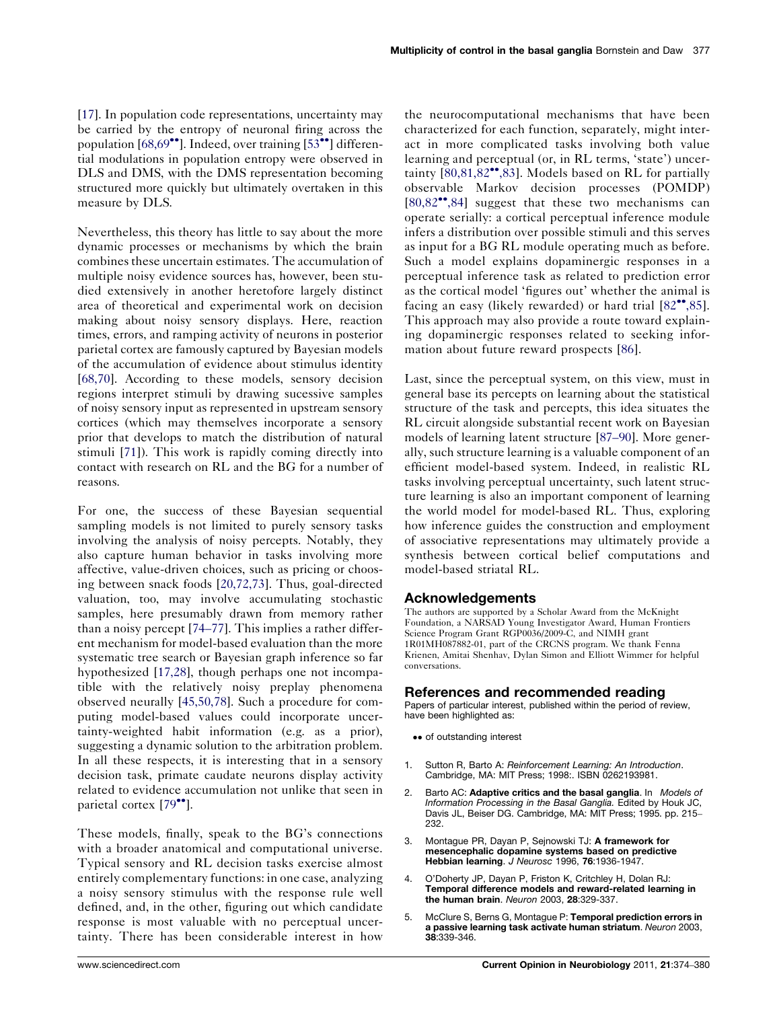<span id="page-3-0"></span>[\[17](#page-4-0)]. In population code representations, uncertainty may be carried by the entropy of neuronal firing across the population [\[68,69](#page-5-0)\*\*]. Indeed, over training [[53](#page-5-0)\*\*] differential modulations in population entropy were observed in DLS and DMS, with the DMS representation becoming structured more quickly but ultimately overtaken in this measure by DLS.

Nevertheless, this theory has little to say about the more dynamic processes or mechanisms by which the brain combines these uncertain estimates. The accumulation of multiple noisy evidence sources has, however, been studied extensively in another heretofore largely distinct area of theoretical and experimental work on decision making about noisy sensory displays. Here, reaction times, errors, and ramping activity of neurons in posterior parietal cortex are famously captured by Bayesian models of the accumulation of evidence about stimulus identity [\[68,70\]](#page-5-0). According to these models, sensory decision regions interpret stimuli by drawing sucessive samples of noisy sensory input as represented in upstream sensory cortices (which may themselves incorporate a sensory prior that develops to match the distribution of natural stimuli [[71\]](#page-5-0)). This work is rapidly coming directly into contact with research on RL and the BG for a number of reasons.

For one, the success of these Bayesian sequential sampling models is not limited to purely sensory tasks involving the analysis of noisy percepts. Notably, they also capture human behavior in tasks involving more affective, value-driven choices, such as pricing or choosing between snack foods [\[20,72,73](#page-4-0)]. Thus, goal-directed valuation, too, may involve accumulating stochastic samples, here presumably drawn from memory rather than a noisy percept [\[74](#page-5-0)–77]. This implies a rather different mechanism for model-based evaluation than the more systematic tree search or Bayesian graph inference so far hypothesized [\[17,28\]](#page-4-0), though perhaps one not incompatible with the relatively noisy preplay phenomena observed neurally [\[45,50,78](#page-5-0)]. Such a procedure for computing model-based values could incorporate uncertainty-weighted habit information (e.g. as a prior), suggesting a dynamic solution to the arbitration problem. In all these respects, it is interesting that in a sensory decision task, primate caudate neurons display activity related to evidence accumulation not unlike that seen in parietal cortex [[79](#page-5-0)\*].

These models, finally, speak to the BG's connections with a broader anatomical and computational universe. Typical sensory and RL decision tasks exercise almost entirely complementary functions: in one case, analyzing a noisy sensory stimulus with the response rule well defined, and, in the other, figuring out which candidate response is most valuable with no perceptual uncertainty. There has been considerable interest in how

the neurocomputational mechanisms that have been characterized for each function, separately, might interact in more complicated tasks involving both value learning and perceptual (or, in RL terms, 'state') uncer-tainty [[80,81,82](#page-6-0)\*[,83\]](#page-6-0). Models based on RL for partially observable Markov decision processes (POMDP) [[80,82](#page-6-0)--[,84\]](#page-6-0) suggest that these two mechanisms can operate serially: a cortical perceptual inference module infers a distribution over possible stimuli and this serves as input for a BG RL module operating much as before. Such a model explains dopaminergic responses in a perceptual inference task as related to prediction error as the cortical model 'figures out' whether the animal is facing an easy (likely rewarded) or hard trial [[82](#page-6-0)\*[,85\]](#page-6-0). This approach may also provide a route toward explaining dopaminergic responses related to seeking information about future reward prospects [[86\]](#page-6-0).

Last, since the perceptual system, on this view, must in general base its percepts on learning about the statistical structure of the task and percepts, this idea situates the RL circuit alongside substantial recent work on Bayesian models of learning latent structure [87–[90\]](#page-6-0). More generally, such structure learning is a valuable component of an efficient model-based system. Indeed, in realistic RL tasks involving perceptual uncertainty, such latent structure learning is also an important component of learning the world model for model-based RL. Thus, exploring how inference guides the construction and employment of associative representations may ultimately provide a synthesis between cortical belief computations and model-based striatal RL.

## Acknowledgements

The authors are supported by a Scholar Award from the McKnight Foundation, a NARSAD Young Investigator Award, Human Frontiers Science Program Grant RGP0036/2009-C, and NIMH grant 1R01MH087882-01, part of the CRCNS program. We thank Fenna Krienen, Amitai Shenhav, Dylan Simon and Elliott Wimmer for helpful conversations.

#### References and recommended reading

Papers of particular interest, published within the period of review, have been highlighted as:

- •• of outstanding interest
- Sutton R, Barto A: Reinforcement Learning: An Introduction. Cambridge, MA: MIT Press; 1998:. ISBN 0262193981.
- 2. Barto AC: Adaptive critics and the basal ganglia. In Models of Information Processing in the Basal Ganglia. Edited by Houk JC, Davis JL, Beiser DG. Cambridge, MA: MIT Press; 1995. pp. 215– 232.
- 3. Montague PR, Dayan P, Sejnowski TJ: A framework for mesencephalic dopamine systems based on predictive Hebbian learning. J Neurosc 1996, 76:1936-1947.
- 4. O'Doherty JP, Dayan P, Friston K, Critchley H, Dolan RJ: Temporal difference models and reward-related learning in the human brain. Neuron 2003, 28:329-337.
- 5. McClure S, Berns G, Montague P: Temporal prediction errors in a passive learning task activate human striatum. Neuron 2003, 38:339-346.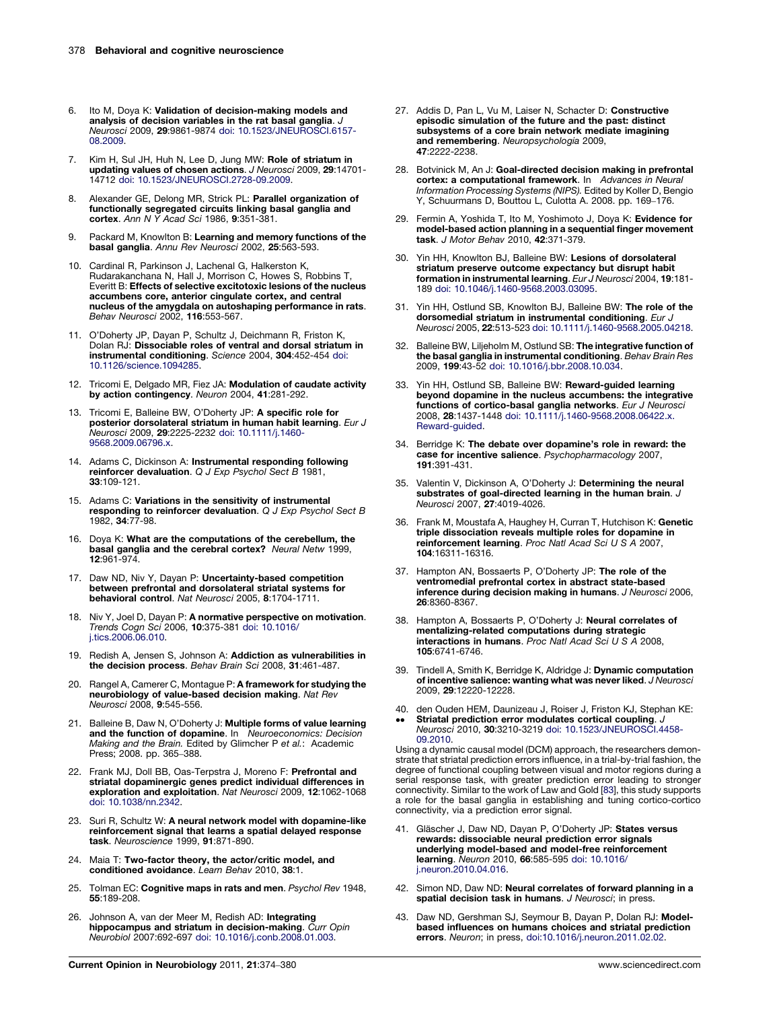- <span id="page-4-0"></span>6. Ito M, Doya K: Validation of decision-making models and analysis of decision variables in the rat basal ganglia. J Neurosci 2009, 29:9861-9874 doi: [10.1523/JNEUROSCI.6157-](http://dx.doi.org/10.1523/JNEUROSCI.6157-08.2009) [08.2009](http://dx.doi.org/10.1523/JNEUROSCI.6157-08.2009).
- 7. Kim H, Sul JH, Huh N, Lee D, Jung MW: Role of striatum in updating values of chosen actions. J Neurosci 2009, 29:14701- 14712 doi: [10.1523/JNEUROSCI.2728-09.2009](http://dx.doi.org/10.1523/JNEUROSCI.2728-09.2009).
- 8. Alexander GE, Delong MR, Strick PL: Parallel organization of functionally segregated circuits linking basal ganglia and<br>cortex. Ann N Y Acad Sci 1986, 9:351-381.
- 9. Packard M, Knowlton B: Learning and memory functions of the basal ganglia. Annu Rev Neurosci 2002, 25:563-593.
- 10. Cardinal R, Parkinson J, Lachenal G, Halkerston K, Rudarakanchana N, Hall J, Morrison C, Howes S, Robbins T, Everitt B: Effects of selective excitotoxic lesions of the nucleus accumbens core, anterior cingulate cortex, and central nucleus of the amygdala on autoshaping performance in rats. Behav Neurosci 2002, 116:553-567.
- 11. O'Doherty JP, Dayan P, Schultz J, Deichmann R, Friston K, Dolan RJ: Dissociable roles of ventral and dorsal striatum in instrumental conditioning. Science 2004, 304:452-454 [doi:](http://dx.doi.org/10.1126/science.1094285) [10.1126/science.1094285](http://dx.doi.org/10.1126/science.1094285).
- 12. Tricomi E, Delgado MR, Fiez JA: Modulation of caudate activity by action contingency. Neuron 2004, 41:281-292.
- 13. Tricomi E, Balleine BW, O'Doherty JP: A specific role for posterior dorsolateral striatum in human habit learning. Eur J Neurosci 2009, 29:2225-2232 doi: [10.1111/j.1460-](http://dx.doi.org/10.1111/j.1460-9568.2009.06796.x) [9568.2009.06796.x](http://dx.doi.org/10.1111/j.1460-9568.2009.06796.x).
- 14. Adams C, Dickinson A: Instrumental responding following reinforcer devaluation. Q J Exp Psychol Sect B 1981, 33:109-121.
- 15. Adams C: Variations in the sensitivity of instrumental responding to reinforcer devaluation. Q J Exp Psychol Sect B 1982, 34:77-98.
- 16. Doya K: What are the computations of the cerebellum, the basal ganglia and the cerebral cortex? Neural Netw 1999, 12:961-974.
- 17. Daw ND, Niv Y, Dayan P: Uncertainty-based competition between prefrontal and dorsolateral striatal systems for behavioral control. Nat Neurosci 2005, 8:1704-1711.
- 18. Niv Y, Joel D, Dayan P: A normative perspective on motivation. Trends Cogn Sci 2006, 10:375-381 doi: [10.1016/](http://dx.doi.org/10.1016/j.tics.2006.06.010) [j.tics.2006.06.010](http://dx.doi.org/10.1016/j.tics.2006.06.010).
- 19. Redish A, Jensen S, Johnson A: Addiction as vulnerabilities in the decision process. Behav Brain Sci 2008, 31:461-487.
- 20. Rangel A, Camerer C, Montague P: A framework for studying the neurobiology of value-based decision making. Nat Rev Neurosci 2008, 9:545-556.
- 21. Balleine B, Daw N, O'Doherty J: **Multiple forms of value learning**<br>and the function of dopamine. In Neuroeconomics: Decision Making and the Brain. Edited by Glimcher P et al.: Academic Press; 2008. pp. 365–388.
- 22. Frank MJ, Doll BB, Oas-Terpstra J, Moreno F: Prefrontal and striatal dopaminergic genes predict individual differences in exploration and exploitation. Nat Neurosci 2009, 12:1062-1068 doi: [10.1038/nn.2342.](http://dx.doi.org/10.1038/nn.2342)
- 23. Suri R, Schultz W: A neural network model with dopamine-like reinforcement signal that learns a spatial delayed response task. Neuroscience 1999, 91:871-890.
- 24. Maia T: Two-factor theory, the actor/critic model, and conditioned avoidance. Learn Behav 2010, 38:1.
- 25. Tolman EC: Cognitive maps in rats and men. Psychol Rev 1948, 55:189-208.
- 26. Johnson A, van der Meer M, Redish AD: Integrating hippocampus and striatum in decision-making. Curr Opin Neurobiol 2007:692-697 doi: [10.1016/j.conb.2008.01.003](http://dx.doi.org/10.1016/j.conb.2008.01.003).
- 27. Addis D, Pan L, Vu M, Laiser N, Schacter D: Constructive episodic simulation of the future and the past: distinct subsystems of a core brain network mediate imagining and remembering. Neuropsychologia 2009, 47:2222-2238.
- 28. Botvinick M, An J: Goal-directed decision making in prefrontal **cortex: a computational framework**. In Advances in Neural<br>Information Processing Systems (NIPS). Edited by Koller D, Bengio Y, Schuurmans D, Bouttou L, Culotta A. 2008. pp. 169–176.
- 29. Fermin A, Yoshida T, Ito M, Yoshimoto J, Doya K: Evidence for model-based action planning in a sequential finger movement task. J Motor Behav 2010, 42:371-379.
- 30. Yin HH, Knowlton BJ, Balleine BW: Lesions of dorsolateral striatum preserve outcome expectancy but disrupt habit formation in instrumental learning. Eur J Neurosci 2004, 19:181- 189 doi: [10.1046/j.1460-9568.2003.03095.](http://dx.doi.org/10.1046/j.1460-9568.2003.03095)
- 31. Yin HH, Ostlund SB, Knowlton BJ, Balleine BW: The role of the **dorsomedial striatum in instrumental conditioning**. *Eur J*<br>*Neurosci* 2005, **22**:513-523 doi: [10.1111/j.1460-9568.2005.04218](http://dx.doi.org/10.1111/j.1460-9568.2005.04218).
- 32. Balleine BW, Liljeholm M, Ostlund SB: The integrative function of the basal ganglia in instrumental conditioning. Behav Brain Res 2009, 199:43-52 doi: [10.1016/j.bbr.2008.10.034.](http://dx.doi.org/10.1016/j.bbr.2008.10.034)
- 33. Yin HH, Ostlund SB, Balleine BW: Reward-guided learning beyond dopamine in the nucleus accumbens: the integrative functions of cortico-basal ganglia networks. Eur J Neurosci 2008, 28:1437-1448 doi: [10.1111/j.1460-9568.2008.06422.x.](http://dx.doi.org/10.1111/j.1460-9568.2008.06422.x.                           Reward-guided) [Reward-guided](http://dx.doi.org/10.1111/j.1460-9568.2008.06422.x.                           Reward-guided).
- 34. Berridge K: The debate over dopamine's role in reward: the case for incentive salience. Psychopharmacology 2007, 191:391-431.
- 35. Valentin V, Dickinson A, O'Doherty J: Determining the neural substrates of goal-directed learning in the human brain. J Neurosci 2007, 27:4019-4026.
- 36. Frank M, Moustafa A, Haughey H, Curran T, Hutchison K: Genetic triple dissociation reveals multiple roles for dopamine in reinforcement learning. Proc Natl Acad Sci U S A 2007, 104:16311-16316.
- 37. Hampton AN, Bossaerts P, O'Doherty JP: The role of the ventromedial prefrontal cortex in abstract state-based inference during decision making in humans. J Neurosci 2006, 26:8360-8367.
- 38. Hampton A, Bossaerts P, O'Doherty J: Neural correlates of mentalizing-related computations during strategic interactions in humans. Proc Natl Acad Sci U S A 2008, 105:6741-6746.
- 39. Tindell A, Smith K, Berridge K, Aldridge J: Dynamic computation of incentive salience: wanting what was never liked. J Neurosci 2009, 29:12220-12228.
- 40. den Ouden HEM, Daunizeau J, Roiser J, Friston KJ, Stephan KE: --Striatal prediction error modulates cortical coupling. Neurosci 2010, 30:3210-3219 doi: [10.1523/JNEUROSCI.4458-](http://dx.doi.org/10.1523/JNEUROSCI.4458-09.2010) [09.2010](http://dx.doi.org/10.1523/JNEUROSCI.4458-09.2010).

Using a dynamic causal model (DCM) approach, the researchers demonstrate that striatal prediction errors influence, in a trial-by-trial fashion, the degree of functional coupling between visual and motor regions during a serial response task, with greater prediction error leading to stronger connectivity. Similar to the work of Law and Gold [[83\]](#page-6-0), this study supports a role for the basal ganglia in establishing and tuning cortico-cortico connectivity, via a prediction error signal.

- 41. Gläscher J, Daw ND, Dayan P, O'Doherty JP: States versus rewards: dissociable neural prediction error signals underlying model-based and model-free reinforcement learning. Neuron 2010, 66:585-595 doi: [10.1016/](http://dx.doi.org/10.1016/j.neuron.2010.04.016) [j.neuron.2010.04.016.](http://dx.doi.org/10.1016/j.neuron.2010.04.016)
- 42. Simon ND, Daw ND: Neural correlates of forward planning in a spatial decision task in humans. J Neurosci; in press.
- 43. Daw ND, Gershman SJ, Seymour B, Dayan P, Dolan RJ: Modelbased influences on humans choices and striatal prediction errors. Neuron; in press, [doi:10.1016/j.neuron.2011.02.02](http://dx.doi.org/10.1016/j.neuron.2011.02.02).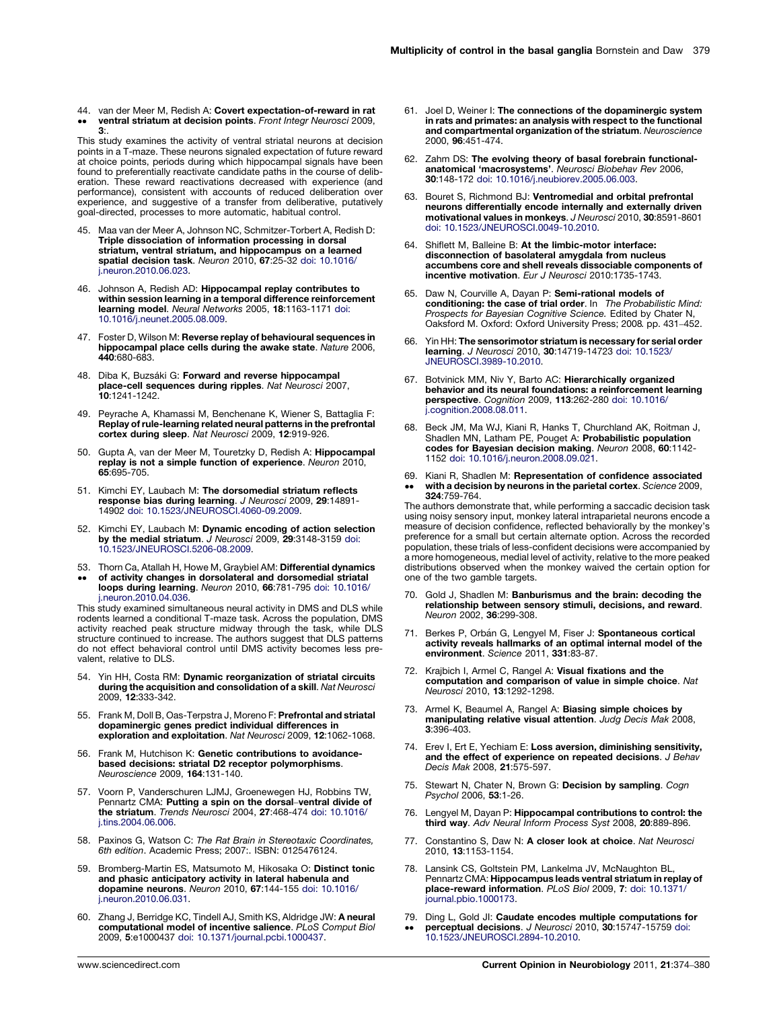<span id="page-5-0"></span>44. van der Meer M, Redish A: Covert expectation-of-reward in rat  $\bullet \bullet$ ventral striatum at decision points. Front Integr Neurosci 2009, 3:.

This study examines the activity of ventral striatal neurons at decision points in a T-maze. These neurons signaled expectation of future reward at choice points, periods during which hippocampal signals have been found to preferentially reactivate candidate paths in the course of deliberation. These reward reactivations decreased with experience (and performance), consistent with accounts of reduced deliberation over experience, and suggestive of a transfer from deliberative, putatively goal-directed, processes to more automatic, habitual control.

- 45. Maa van der Meer A, Johnson NC, Schmitzer-Torbert A, Redish D: Triple dissociation of information processing in dorsal striatum, ventral striatum, and hippocampus on a learned spatial decision task. Neuron 2010, 67:25-32 doi: [10.1016/](http://dx.doi.org/10.1016/j.neuron.2010.06.023) [j.neuron.2010.06.023.](http://dx.doi.org/10.1016/j.neuron.2010.06.023)
- 46. Johnson A, Redish AD: Hippocampal replay contributes to within session learning in a temporal difference reinforcement learning model. Neural Networks 2005, 18:1163-1171 [doi:](http://dx.doi.org/10.1016/j.neunet.2005.08.009) [10.1016/j.neunet.2005.08.009.](http://dx.doi.org/10.1016/j.neunet.2005.08.009)
- 47. Foster D, Wilson M: Reverse replay of behavioural sequences in hippocampal place cells during the awake state. Nature 2006, 440:680-683.
- 48. Diba K, Buzsáki G: Forward and reverse hippocampal **place-cell sequences during ripples**. *Nat Neurosci* 2007,<br>**10**:1241-1242.
- 49. Peyrache A, Khamassi M, Benchenane K, Wiener S, Battaglia F: Replay ofrule-learning related neural patterns in the prefrontal cortex during sleep. Nat Neurosci 2009, 12:919-926.
- 50. Gupta A, van der Meer M, Touretzky D, Redish A: Hippocampal replay is not a simple function of experience. Neuron 2010, 65:695-705.
- 51. Kimchi EY, Laubach M: The dorsomedial striatum reflects response bias during learning. J Neurosci 2009, 29:14891- 14902 doi: [10.1523/JNEUROSCI.4060-09.2009](http://dx.doi.org/10.1523/JNEUROSCI.4060-09.2009).
- 52. Kimchi EY, Laubach M: Dynamic encoding of action selection by the medial striatum. J Neurosci 2009, 29:3148-3159 [doi:](http://dx.doi.org/10.1523/JNEUROSCI.5206-08.2009) [10.1523/JNEUROSCI.5206-08.2009](http://dx.doi.org/10.1523/JNEUROSCI.5206-08.2009).
- 53. Thorn Ca, Atallah H, Howe M, Graybiel AM: Differential dynamics
- $\bullet$ of activity changes in dorsolateral and dorsomedial striatal loops during learning. Neuron 2010, 66:781-795 doi: [10.1016/](http://dx.doi.org/10.1016/j.neuron.2010.04.036) [j.neuron.2010.04.036.](http://dx.doi.org/10.1016/j.neuron.2010.04.036)

This study examined simultaneous neural activity in DMS and DLS while rodents learned a conditional T-maze task. Across the population, DMS activity reached peak structure midway through the task, while DLS structure continued to increase. The authors suggest that DLS patterns do not effect behavioral control until DMS activity becomes less prevalent, relative to DLS.

- 54. Yin HH, Costa RM: Dynamic reorganization of striatal circuits during the acquisition and consolidation of a skill. Nat Neurosci 2009, 12:333-342.
- 55. Frank M, Doll B, Oas-Terpstra J, Moreno F: Prefrontal and striatal dopaminergic genes predict individual differences in exploration and exploitation. Nat Neurosci 2009, 12:1062-1068.
- 56. Frank M, Hutchison K: Genetic contributions to avoidancebased decisions: striatal D2 receptor polymorphisms. Neuroscience 2009, 164:131-140.
- 57. Voorn P, Vanderschuren LJMJ, Groenewegen HJ, Robbins TW, Pennartz CMA: Putting a spin on the dorsal–ventral divide of the striatum. Trends Neurosci 2004, 27:468-474 doi: [10.1016/](http://dx.doi.org/10.1016/j.tins.2004.06.006) [j.tins.2004.06.006](http://dx.doi.org/10.1016/j.tins.2004.06.006).
- 58. Paxinos G, Watson C: The Rat Brain in Stereotaxic Coordinates, 6th edition. Academic Press; 2007:. ISBN: 0125476124.
- 59. Bromberg-Martin ES, Matsumoto M, Hikosaka O: Distinct tonic and phasic anticipatory activity in lateral habenula and dopamine neurons. Neuron 2010, 67:144-155 doi: [10.1016/](http://dx.doi.org/10.1016/j.neuron.2010.06.031) [j.neuron.2010.06.031.](http://dx.doi.org/10.1016/j.neuron.2010.06.031)
- 60. Zhang J, Berridge KC, Tindell AJ, Smith KS, Aldridge JW: A neural computational model of incentive salience. PLoS Comput Biol 2009, 5:e1000437 doi: [10.1371/journal.pcbi.1000437.](http://dx.doi.org/10.1371/journal.pcbi.1000437)
- 61. Joel D, Weiner I: The connections of the dopaminergic system in rats and primates: an analysis with respect to the functional and compartmental organization of the striatum. Neuroscience 2000, 96:451-474.
- 62. Zahm DS: The evolving theory of basal forebrain functionalanatomical 'macrosystems'. Neurosci Biobehav Rev 2006, 30:148-172 doi: [10.1016/j.neubiorev.2005.06.003.](http://dx.doi.org/10.1016/j.neubiorev.2005.06.003)
- 63. Bouret S, Richmond BJ: Ventromedial and orbital prefrontal neurons differentially encode internally and externally driven motivational values in monkeys. J Neurosci 2010, 30:8591-8601 doi: [10.1523/JNEUROSCI.0049-10.2010.](http://dx.doi.org/10.1523/JNEUROSCI.0049-10.2010)
- 64. Shiflett M, Balleine B: At the limbic-motor interface: disconnection of basolateral amygdala from nucleus accumbens core and shell reveals dissociable components of incentive motivation. Eur J Neurosci 2010:1735-1743.
- 65. Daw N, Courville A, Dayan P: Semi-rational models of conditioning: the case of trial order. In The Probabilistic Mind: Prospects for Bayesian Cognitive Science. Edited by Chater N Oaksford M. Oxford: Oxford University Press; 2008. pp. 431–452.
- 66. Yin HH: The sensorimotor striatum is necessary for serial order learning. J Neurosci 2010, 30:14719-14723 doi: [10.1523/](http://dx.doi.org/10.1523/JNEUROSCI.3989-10.2010) [JNEUROSCI.3989-10.2010](http://dx.doi.org/10.1523/JNEUROSCI.3989-10.2010).
- 67. Botvinick MM, Niv Y, Barto AC: Hierarchically organized behavior and its neural foundations: a reinforcement learning perspective. Cognition 2009, 113:262-280 doi: [10.1016/](http://dx.doi.org/10.1016/j.cognition.2008.08.011) [j.cognition.2008.08.011.](http://dx.doi.org/10.1016/j.cognition.2008.08.011)
- 68. Beck JM, Ma WJ, Kiani R, Hanks T, Churchland AK, Roitman J, Shadlen MN, Latham PE, Pouget A: Probabilistic population codes for Bayesian decision making. Neuron 2008, 60:1142- 1152 doi: [10.1016/j.neuron.2008.09.021](http://dx.doi.org/10.1016/j.neuron.2008.09.021).
- 69. Kiani R, Shadlen M: Representation of confidence associated -with a decision by neurons in the parietal cortex. Science 2009, 324:759-764.

The authors demonstrate that, while performing a saccadic decision task using noisy sensory input, monkey lateral intraparietal neurons encode a measure of decision confidence, reflected behaviorally by the monkey's preference for a small but certain alternate option. Across the recorded population, these trials of less-confident decisions were accompanied by a more homogeneous, medial level of activity, relative to the more peaked distributions observed when the monkey waived the certain option for one of the two gamble targets.

- 70. Gold J, Shadlen M: Banburismus and the brain: decoding the relationship between sensory stimuli, decisions, and reward. Neuron 2002, 36:299-308.
- 71. Berkes P, Orbán G, Lengyel M, Fiser J: Spontaneous cortical activity reveals hallmarks of an optimal internal model of the environment. Science 2011, 331:83-87.
- 72. Krajbich I, Armel C, Rangel A: Visual fixations and the computation and comparison of value in simple choice. Nat Neurosci 2010, 13:1292-1298.
- 73. Armel K, Beaumel A, Rangel A: Biasing simple choices by manipulating relative visual attention. Judg Decis Mak 2008, 3:396-403.
- 74. Erev I, Ert E, Yechiam E: Loss aversion, diminishing sensitivity, and the effect of experience on repeated decisions. J Behav Decis Mak 2008, 21:575-597.
- 75. Stewart N, Chater N, Brown G: Decision by sampling. Cogn Psychol 2006, 53:1-26.
- 76. Lengyel M, Dayan P: Hippocampal contributions to control: the third way. Adv Neural Inform Process Syst 2008, 20:889-896.
- 77. Constantino S, Daw N: A closer look at choice. Nat Neurosci 2010, 13:1153-1154.
- 78. Lansink CS, Goltstein PM, Lankelma JV, McNaughton BL, Pennartz CMA: Hippocampus leads ventral striatum in replay of place-reward information. PLoS Biol 2009, 7: doi: [10.1371/](http://dx.doi.org/10.1371/journal.pbio.1000173) [journal.pbio.1000173.](http://dx.doi.org/10.1371/journal.pbio.1000173)
- 79. Ding L, Gold JI: Caudate encodes multiple computations for -perceptual decisions. J Neurosci 2010, 30:15747-15759 [doi:](http://dx.doi.org/10.1523/JNEUROSCI.2894-10.2010) [10.1523/JNEUROSCI.2894-10.2010.](http://dx.doi.org/10.1523/JNEUROSCI.2894-10.2010)